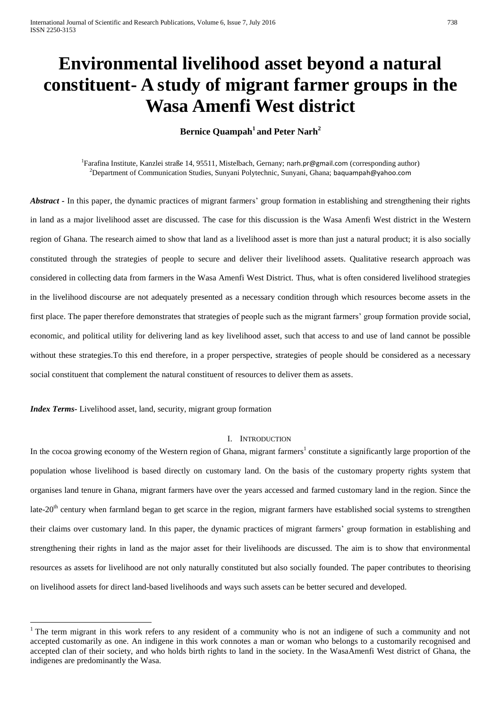# **Environmental livelihood asset beyond a natural constituent- A study of migrant farmer groups in the Wasa Amenfi West district**

**Bernice Quampah<sup>1</sup> and Peter Narh<sup>2</sup>**

<sup>1</sup>Farafina Institute, Kanzlei straße 14, 95511, Mistelbach, Gernany; [narh.pr@gmail.com](mailto:narh.pr@gmail.com) (corresponding author) <sup>2</sup>Department of Communication Studies, Sunyani Polytechnic, Sunyani, Ghana; [baquampah@yahoo.com](mailto:baquampah@yahoo.com)

*Abstract -* In this paper, the dynamic practices of migrant farmers' group formation in establishing and strengthening their rights in land as a major livelihood asset are discussed. The case for this discussion is the Wasa Amenfi West district in the Western region of Ghana. The research aimed to show that land as a livelihood asset is more than just a natural product; it is also socially constituted through the strategies of people to secure and deliver their livelihood assets. Qualitative research approach was considered in collecting data from farmers in the Wasa Amenfi West District. Thus, what is often considered livelihood strategies in the livelihood discourse are not adequately presented as a necessary condition through which resources become assets in the first place. The paper therefore demonstrates that strategies of people such as the migrant farmers' group formation provide social, economic, and political utility for delivering land as key livelihood asset, such that access to and use of land cannot be possible without these strategies.To this end therefore, in a proper perspective, strategies of people should be considered as a necessary social constituent that complement the natural constituent of resources to deliver them as assets.

*Index Terms-* Livelihood asset, land, security, migrant group formation

1

## I. INTRODUCTION

In the cocoa growing economy of the Western region of Ghana, migrant farmers<sup>1</sup> constitute a significantly large proportion of the population whose livelihood is based directly on customary land. On the basis of the customary property rights system that organises land tenure in Ghana, migrant farmers have over the years accessed and farmed customary land in the region. Since the late-20<sup>th</sup> century when farmland began to get scarce in the region, migrant farmers have established social systems to strengthen their claims over customary land. In this paper, the dynamic practices of migrant farmers' group formation in establishing and strengthening their rights in land as the major asset for their livelihoods are discussed. The aim is to show that environmental resources as assets for livelihood are not only naturally constituted but also socially founded. The paper contributes to theorising on livelihood assets for direct land-based livelihoods and ways such assets can be better secured and developed.

<sup>&</sup>lt;sup>1</sup> The term migrant in this work refers to any resident of a community who is not an indigene of such a community and not accepted customarily as one. An indigene in this work connotes a man or woman who belongs to a customarily recognised and accepted clan of their society, and who holds birth rights to land in the society. In the WasaAmenfi West district of Ghana, the indigenes are predominantly the Wasa.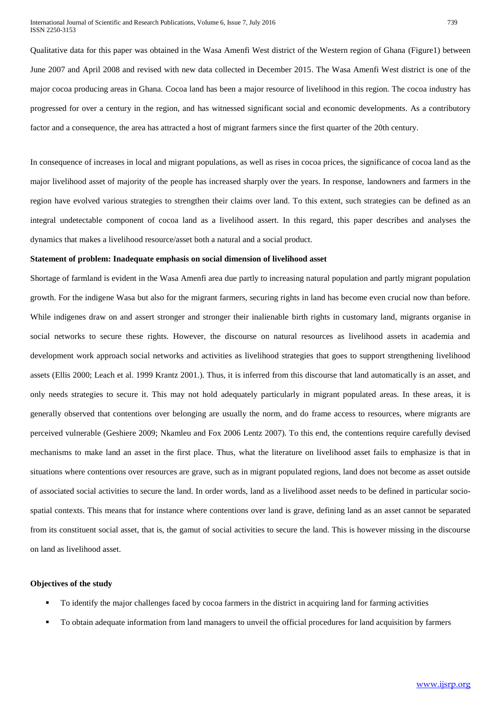Qualitative data for this paper was obtained in the Wasa Amenfi West district of the Western region of Ghana (Figure1) between June 2007 and April 2008 and revised with new data collected in December 2015. The Wasa Amenfi West district is one of the major cocoa producing areas in Ghana. Cocoa land has been a major resource of livelihood in this region. The cocoa industry has progressed for over a century in the region, and has witnessed significant social and economic developments. As a contributory factor and a consequence, the area has attracted a host of migrant farmers since the first quarter of the 20th century.

In consequence of increases in local and migrant populations, as well as rises in cocoa prices, the significance of cocoa land as the major livelihood asset of majority of the people has increased sharply over the years. In response, landowners and farmers in the region have evolved various strategies to strengthen their claims over land. To this extent, such strategies can be defined as an integral undetectable component of cocoa land as a livelihood assert. In this regard, this paper describes and analyses the dynamics that makes a livelihood resource/asset both a natural and a social product.

#### **Statement of problem: Inadequate emphasis on social dimension of livelihood asset**

Shortage of farmland is evident in the Wasa Amenfi area due partly to increasing natural population and partly migrant population growth. For the indigene Wasa but also for the migrant farmers, securing rights in land has become even crucial now than before. While indigenes draw on and assert stronger and stronger their inalienable birth rights in customary land, migrants organise in social networks to secure these rights. However, the discourse on natural resources as livelihood assets in academia and development work approach social networks and activities as livelihood strategies that goes to support strengthening livelihood assets (Ellis 2000; Leach et al. 1999 Krantz 2001.). Thus, it is inferred from this discourse that land automatically is an asset, and only needs strategies to secure it. This may not hold adequately particularly in migrant populated areas. In these areas, it is generally observed that contentions over belonging are usually the norm, and do frame access to resources, where migrants are perceived vulnerable (Geshiere 2009; Nkamleu and Fox 2006 Lentz 2007). To this end, the contentions require carefully devised mechanisms to make land an asset in the first place. Thus, what the literature on livelihood asset fails to emphasize is that in situations where contentions over resources are grave, such as in migrant populated regions, land does not become as asset outside of associated social activities to secure the land. In order words, land as a livelihood asset needs to be defined in particular sociospatial contexts. This means that for instance where contentions over land is grave, defining land as an asset cannot be separated from its constituent social asset, that is, the gamut of social activities to secure the land. This is however missing in the discourse on land as livelihood asset.

# **Objectives of the study**

- To identify the major challenges faced by cocoa farmers in the district in acquiring land for farming activities
- To obtain adequate information from land managers to unveil the official procedures for land acquisition by farmers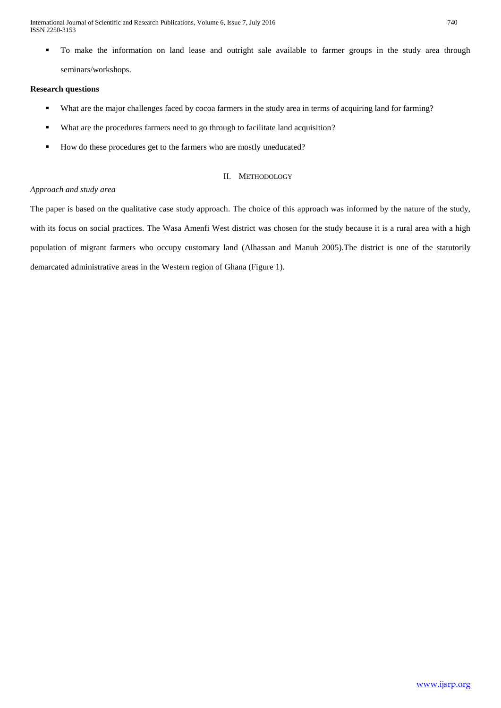International Journal of Scientific and Research Publications, Volume 6, Issue 7, July 2016 740 ISSN 2250-3153

 To make the information on land lease and outright sale available to farmer groups in the study area through seminars/workshops.

# **Research questions**

- What are the major challenges faced by cocoa farmers in the study area in terms of acquiring land for farming?
- What are the procedures farmers need to go through to facilitate land acquisition?
- How do these procedures get to the farmers who are mostly uneducated?

# II. METHODOLOGY

# *Approach and study area*

The paper is based on the qualitative case study approach. The choice of this approach was informed by the nature of the study, with its focus on social practices. The Wasa Amenfi West district was chosen for the study because it is a rural area with a high population of migrant farmers who occupy customary land (Alhassan and Manuh 2005).The district is one of the statutorily demarcated administrative areas in the Western region of Ghana (Figure 1).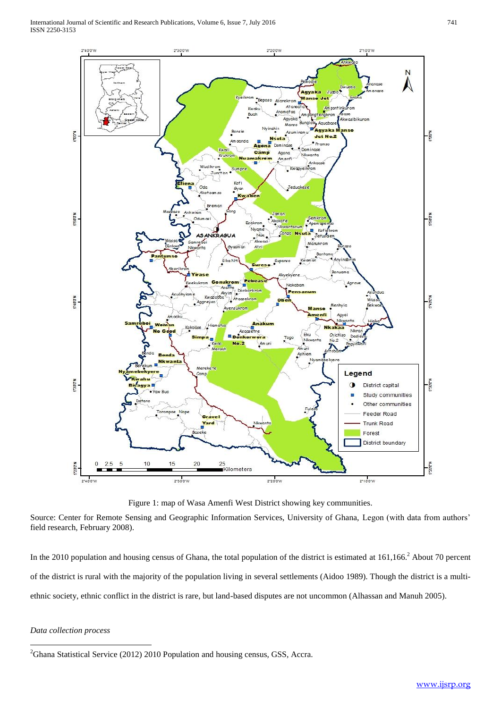

Figure 1: map of Wasa Amenfi West District showing key communities.

Source: Center for Remote Sensing and Geographic Information Services, University of Ghana, Legon (with data from authors' field research, February 2008).

In the 2010 population and housing census of Ghana, the total population of the district is estimated at  $161,166$ <sup>2</sup> About 70 percent of the district is rural with the majority of the population living in several settlements (Aidoo 1989). Though the district is a multiethnic society, ethnic conflict in the district is rare, but land-based disputes are not uncommon (Alhassan and Manuh 2005).

# *Data collection process*

**<sup>.</sup>** <sup>2</sup>Ghana Statistical Service (2012) 2010 Population and housing census, GSS, Accra.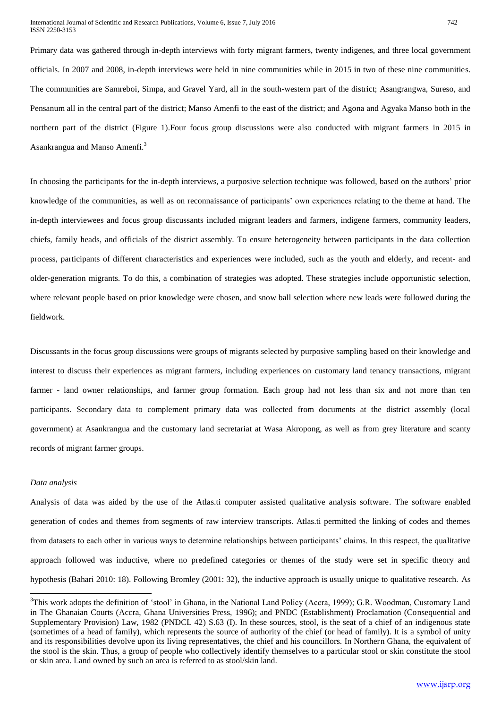Primary data was gathered through in-depth interviews with forty migrant farmers, twenty indigenes, and three local government officials. In 2007 and 2008, in-depth interviews were held in nine communities while in 2015 in two of these nine communities. The communities are Samreboi, Simpa, and Gravel Yard, all in the south-western part of the district; Asangrangwa, Sureso, and Pensanum all in the central part of the district; Manso Amenfi to the east of the district; and Agona and Agyaka Manso both in the northern part of the district (Figure 1).Four focus group discussions were also conducted with migrant farmers in 2015 in Asankrangua and Manso Amenfi.<sup>3</sup>

In choosing the participants for the in-depth interviews, a purposive selection technique was followed, based on the authors' prior knowledge of the communities, as well as on reconnaissance of participants' own experiences relating to the theme at hand. The in-depth interviewees and focus group discussants included migrant leaders and farmers, indigene farmers, community leaders, chiefs, family heads, and officials of the district assembly. To ensure heterogeneity between participants in the data collection process, participants of different characteristics and experiences were included, such as the youth and elderly, and recent- and older-generation migrants. To do this, a combination of strategies was adopted. These strategies include opportunistic selection, where relevant people based on prior knowledge were chosen, and snow ball selection where new leads were followed during the fieldwork.

Discussants in the focus group discussions were groups of migrants selected by purposive sampling based on their knowledge and interest to discuss their experiences as migrant farmers, including experiences on customary land tenancy transactions, migrant farmer - land owner relationships, and farmer group formation. Each group had not less than six and not more than ten participants. Secondary data to complement primary data was collected from documents at the district assembly (local government) at Asankrangua and the customary land secretariat at Wasa Akropong, as well as from grey literature and scanty records of migrant farmer groups.

## *Data analysis*

1

Analysis of data was aided by the use of the Atlas.ti computer assisted qualitative analysis software. The software enabled generation of codes and themes from segments of raw interview transcripts. Atlas.ti permitted the linking of codes and themes from datasets to each other in various ways to determine relationships between participants' claims. In this respect, the qualitative approach followed was inductive, where no predefined categories or themes of the study were set in specific theory and hypothesis (Bahari 2010: 18). Following Bromley (2001: 32), the inductive approach is usually unique to qualitative research. As

<sup>&</sup>lt;sup>3</sup>This work adopts the definition of 'stool' in Ghana, in the National Land Policy (Accra, 1999); G.R. Woodman, Customary Land in The Ghanaian Courts (Accra, Ghana Universities Press, 1996); and PNDC (Establishment) Proclamation (Consequential and Supplementary Provision) Law, 1982 (PNDCL 42) S.63 (I). In these sources, stool, is the seat of a chief of an indigenous state (sometimes of a head of family), which represents the source of authority of the chief (or head of family). It is a symbol of unity and its responsibilities devolve upon its living representatives, the chief and his councillors. In Northern Ghana, the equivalent of the stool is the skin. Thus, a group of people who collectively identify themselves to a particular stool or skin constitute the stool or skin area. Land owned by such an area is referred to as stool/skin land.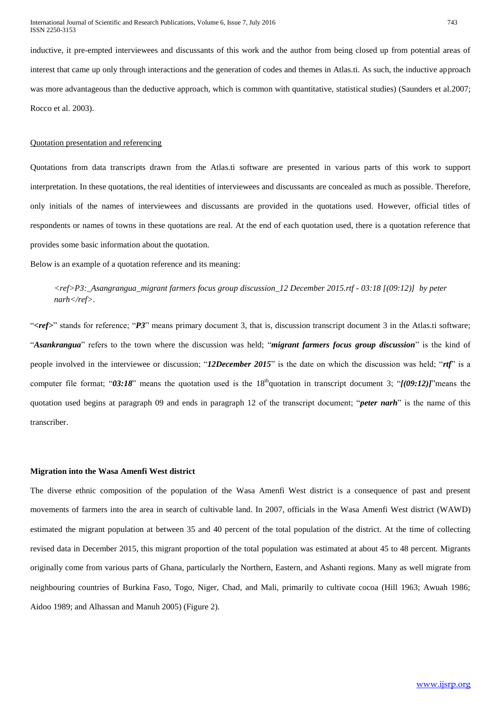inductive, it pre-empted interviewees and discussants of this work and the author from being closed up from potential areas of interest that came up only through interactions and the generation of codes and themes in Atlas.ti. As such, the inductive approach was more advantageous than the deductive approach, which is common with quantitative, statistical studies) (Saunders et al.2007; Rocco et al. 2003).

# Quotation presentation and referencing

Quotations from data transcripts drawn from the Atlas.ti software are presented in various parts of this work to support interpretation. In these quotations, the real identities of interviewees and discussants are concealed as much as possible. Therefore, only initials of the names of interviewees and discussants are provided in the quotations used. However, official titles of respondents or names of towns in these quotations are real. At the end of each quotation used, there is a quotation reference that provides some basic information about the quotation.

Below is an example of a quotation reference and its meaning:

# *<ref>P3:\_Asangrangua\_migrant farmers focus group discussion\_12 December 2015.rtf - 03:18 [(09:12)] by peter narh</ref>.*

"**<***ref>*" stands for reference; "*P3*" means primary document 3, that is, discussion transcript document 3 in the Atlas.ti software; "*Asankrangua*" refers to the town where the discussion was held; "*migrant farmers focus group discussion*" is the kind of people involved in the interviewee or discussion; "*12December 2015*" is the date on which the discussion was held; "*rtf*" is a computer file format; "03:18" means the quotation used is the 18<sup>th</sup>quotation in transcript document 3; " $(09:12)$ ]" means the quotation used begins at paragraph 09 and ends in paragraph 12 of the transcript document; "*peter narh*" is the name of this transcriber.

#### **Migration into the Wasa Amenfi West district**

The diverse ethnic composition of the population of the Wasa Amenfi West district is a consequence of past and present movements of farmers into the area in search of cultivable land. In 2007, officials in the Wasa Amenfi West district (WAWD) estimated the migrant population at between 35 and 40 percent of the total population of the district. At the time of collecting revised data in December 2015, this migrant proportion of the total population was estimated at about 45 to 48 percent. Migrants originally come from various parts of Ghana, particularly the Northern, Eastern, and Ashanti regions. Many as well migrate from neighbouring countries of Burkina Faso, Togo, Niger, Chad, and Mali, primarily to cultivate cocoa (Hill 1963; Awuah 1986; Aidoo 1989; and Alhassan and Manuh 2005) (Figure 2).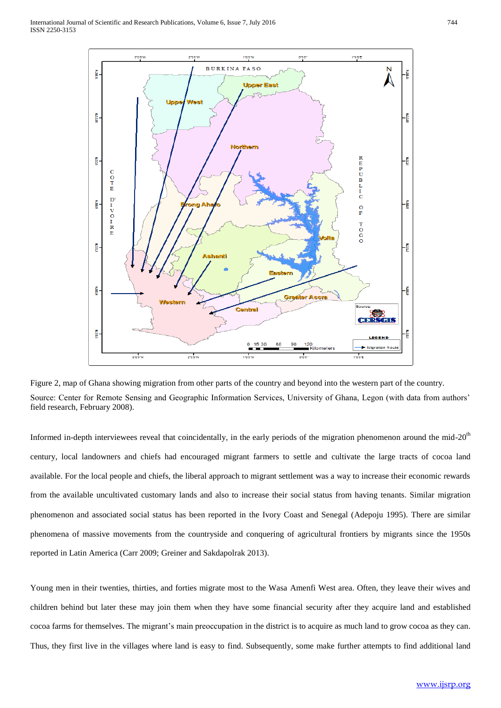

Figure 2, map of Ghana showing migration from other parts of the country and beyond into the western part of the country. Source: Center for Remote Sensing and Geographic Information Services, University of Ghana, Legon (with data from authors' field research, February 2008).

Informed in-depth interviewees reveal that coincidentally, in the early periods of the migration phenomenon around the mid-20<sup>th</sup> century, local landowners and chiefs had encouraged migrant farmers to settle and cultivate the large tracts of cocoa land available. For the local people and chiefs, the liberal approach to migrant settlement was a way to increase their economic rewards from the available uncultivated customary lands and also to increase their social status from having tenants. Similar migration phenomenon and associated social status has been reported in the Ivory Coast and Senegal (Adepoju 1995). There are similar phenomena of massive movements from the countryside and conquering of agricultural frontiers by migrants since the 1950s reported in Latin America (Carr 2009; Greiner and Sakdapolrak 2013).

Young men in their twenties, thirties, and forties migrate most to the Wasa Amenfi West area. Often, they leave their wives and children behind but later these may join them when they have some financial security after they acquire land and established cocoa farms for themselves. The migrant's main preoccupation in the district is to acquire as much land to grow cocoa as they can. Thus, they first live in the villages where land is easy to find. Subsequently, some make further attempts to find additional land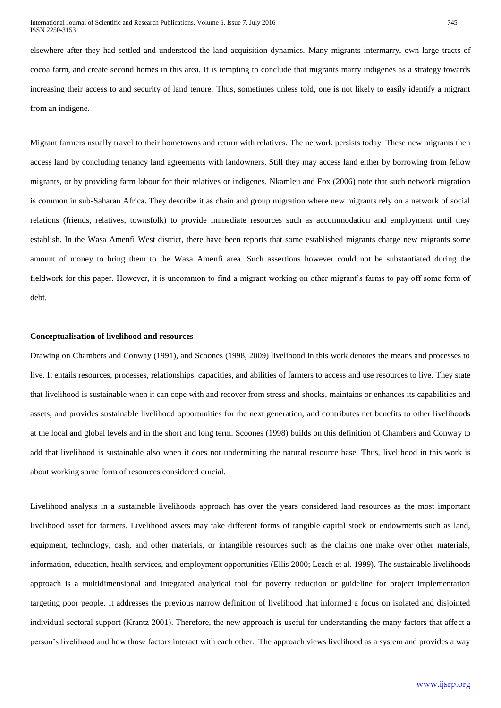elsewhere after they had settled and understood the land acquisition dynamics. Many migrants intermarry, own large tracts of cocoa farm, and create second homes in this area. It is tempting to conclude that migrants marry indigenes as a strategy towards increasing their access to and security of land tenure. Thus, sometimes unless told, one is not likely to easily identify a migrant from an indigene.

Migrant farmers usually travel to their hometowns and return with relatives. The network persists today. These new migrants then access land by concluding tenancy land agreements with landowners. Still they may access land either by borrowing from fellow migrants, or by providing farm labour for their relatives or indigenes. Nkamleu and Fox (2006) note that such network migration is common in sub-Saharan Africa. They describe it as chain and group migration where new migrants rely on a network of social relations (friends, relatives, townsfolk) to provide immediate resources such as accommodation and employment until they establish. In the Wasa Amenfi West district, there have been reports that some established migrants charge new migrants some amount of money to bring them to the Wasa Amenfi area. Such assertions however could not be substantiated during the fieldwork for this paper. However, it is uncommon to find a migrant working on other migrant's farms to pay off some form of debt.

#### **Conceptualisation of livelihood and resources**

Drawing on Chambers and Conway (1991), and Scoones (1998, 2009) livelihood in this work denotes the means and processes to live. It entails resources, processes, relationships, capacities, and abilities of farmers to access and use resources to live. They state that livelihood is sustainable when it can cope with and recover from stress and shocks, maintains or enhances its capabilities and assets, and provides sustainable livelihood opportunities for the next generation, and contributes net benefits to other livelihoods at the local and global levels and in the short and long term. Scoones (1998) builds on this definition of Chambers and Conway to add that livelihood is sustainable also when it does not undermining the natural resource base. Thus, livelihood in this work is about working some form of resources considered crucial.

Livelihood analysis in a sustainable livelihoods approach has over the years considered land resources as the most important livelihood asset for farmers. Livelihood assets may take different forms of tangible capital stock or endowments such as land, equipment, technology, cash, and other materials, or intangible resources such as the claims one make over other materials, information, education, health services, and employment opportunities (Ellis 2000; Leach et al. 1999). The sustainable livelihoods approach is a multidimensional and integrated analytical tool for poverty reduction or guideline for project implementation targeting poor people. It addresses the previous narrow definition of livelihood that informed a focus on isolated and disjointed individual sectoral support (Krantz 2001). Therefore, the new approach is useful for understanding the many factors that affect a person's livelihood and how those factors interact with each other. The approach views livelihood as a system and provides a way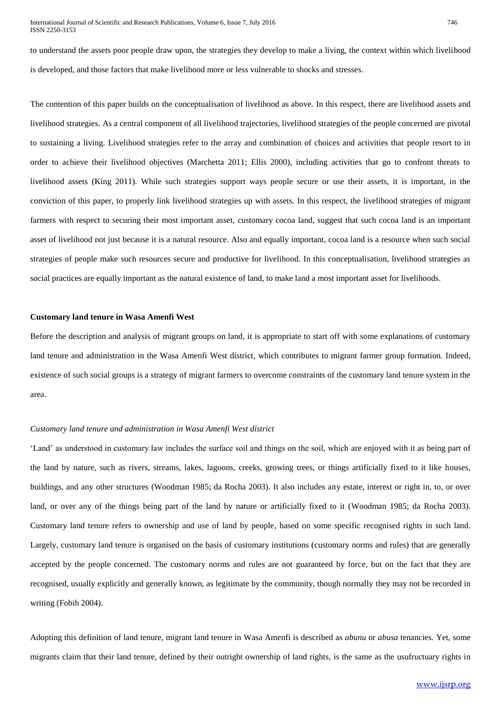to understand the assets poor people draw upon, the strategies they develop to make a living, the context within which livelihood is developed, and those factors that make livelihood more or less vulnerable to shocks and stresses.

The contention of this paper builds on the conceptualisation of livelihood as above. In this respect, there are livelihood assets and livelihood strategies. As a central component of all livelihood trajectories, livelihood strategies of the people concerned are pivotal to sustaining a living. Livelihood strategies refer to the array and combination of choices and activities that people resort to in order to achieve their livelihood objectives (Marchetta 2011; Ellis 2000), including activities that go to confront threats to livelihood assets (King 2011). While such strategies support ways people secure or use their assets, it is important, in the conviction of this paper, to properly link livelihood strategies up with assets. In this respect, the livelihood strategies of migrant farmers with respect to securing their most important asset, customary cocoa land, suggest that such cocoa land is an important asset of livelihood not just because it is a natural resource. Also and equally important, cocoa land is a resource when such social strategies of people make such resources secure and productive for livelihood. In this conceptualisation, livelihood strategies as social practices are equally important as the natural existence of land, to make land a most important asset for livelihoods.

#### **Customary land tenure in Wasa Amenfi West**

Before the description and analysis of migrant groups on land, it is appropriate to start off with some explanations of customary land tenure and administration in the Wasa Amenfi West district, which contributes to migrant farmer group formation. Indeed, existence of such social groups is a strategy of migrant farmers to overcome constraints of the customary land tenure system in the area.

# *Customary land tenure and administration in Wasa Amenfi West district*

'Land' as understood in customary law includes the surface soil and things on the soil, which are enjoyed with it as being part of the land by nature, such as rivers, streams, lakes, lagoons, creeks, growing trees, or things artificially fixed to it like houses, buildings, and any other structures (Woodman 1985; da Rocha 2003). It also includes any estate, interest or right in, to, or over land, or over any of the things being part of the land by nature or artificially fixed to it (Woodman 1985; da Rocha 2003). Customary land tenure refers to ownership and use of land by people, based on some specific recognised rights in such land. Largely, customary land tenure is organised on the basis of customary institutions (customary norms and rules) that are generally accepted by the people concerned. The customary norms and rules are not guaranteed by force, but on the fact that they are recognised, usually explicitly and generally known, as legitimate by the community, though normally they may not be recorded in writing (Fobih 2004).

Adopting this definition of land tenure, migrant land tenure in Wasa Amenfi is described as *abunu* or *abusa* tenancies. Yet, some migrants claim that their land tenure, defined by their outright ownership of land rights, is the same as the usufructuary rights in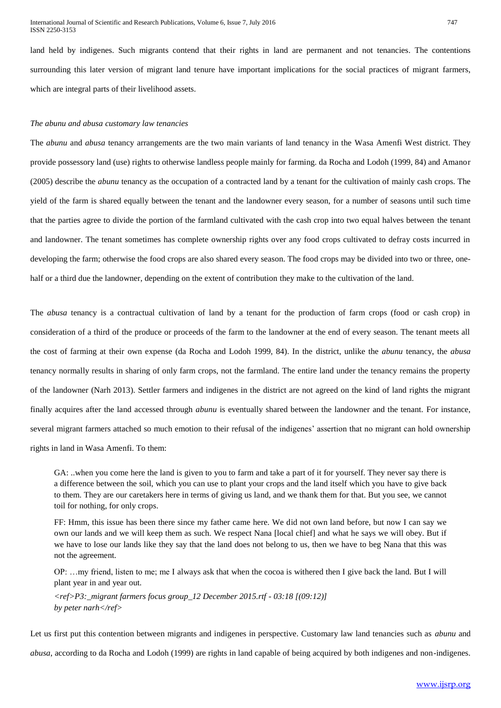land held by indigenes. Such migrants contend that their rights in land are permanent and not tenancies. The contentions surrounding this later version of migrant land tenure have important implications for the social practices of migrant farmers, which are integral parts of their livelihood assets.

## *The abunu and abusa customary law tenancies*

The *abunu* and *abusa* tenancy arrangements are the two main variants of land tenancy in the Wasa Amenfi West district. They provide possessory land (use) rights to otherwise landless people mainly for farming. da Rocha and Lodoh (1999, 84) and Amanor (2005) describe the *abunu* tenancy as the occupation of a contracted land by a tenant for the cultivation of mainly cash crops. The yield of the farm is shared equally between the tenant and the landowner every season, for a number of seasons until such time that the parties agree to divide the portion of the farmland cultivated with the cash crop into two equal halves between the tenant and landowner. The tenant sometimes has complete ownership rights over any food crops cultivated to defray costs incurred in developing the farm; otherwise the food crops are also shared every season. The food crops may be divided into two or three, onehalf or a third due the landowner, depending on the extent of contribution they make to the cultivation of the land.

The *abusa* tenancy is a contractual cultivation of land by a tenant for the production of farm crops (food or cash crop) in consideration of a third of the produce or proceeds of the farm to the landowner at the end of every season. The tenant meets all the cost of farming at their own expense (da Rocha and Lodoh 1999, 84). In the district, unlike the *abunu* tenancy, the *abusa* tenancy normally results in sharing of only farm crops, not the farmland. The entire land under the tenancy remains the property of the landowner (Narh 2013). Settler farmers and indigenes in the district are not agreed on the kind of land rights the migrant finally acquires after the land accessed through *abunu* is eventually shared between the landowner and the tenant. For instance, several migrant farmers attached so much emotion to their refusal of the indigenes' assertion that no migrant can hold ownership rights in land in Wasa Amenfi. To them:

GA: ..when you come here the land is given to you to farm and take a part of it for yourself. They never say there is a difference between the soil, which you can use to plant your crops and the land itself which you have to give back to them. They are our caretakers here in terms of giving us land, and we thank them for that. But you see, we cannot toil for nothing, for only crops.

FF: Hmm, this issue has been there since my father came here. We did not own land before, but now I can say we own our lands and we will keep them as such. We respect Nana [local chief] and what he says we will obey. But if we have to lose our lands like they say that the land does not belong to us, then we have to beg Nana that this was not the agreement.

OP: …my friend, listen to me; me I always ask that when the cocoa is withered then I give back the land. But I will plant year in and year out.

*<ref>P3:\_migrant farmers focus group\_12 December 2015.rtf - 03:18 [(09:12)] by peter narh</ref>*

Let us first put this contention between migrants and indigenes in perspective. Customary law land tenancies such as *abunu* and

*abusa*, according to da Rocha and Lodoh (1999) are rights in land capable of being acquired by both indigenes and non-indigenes.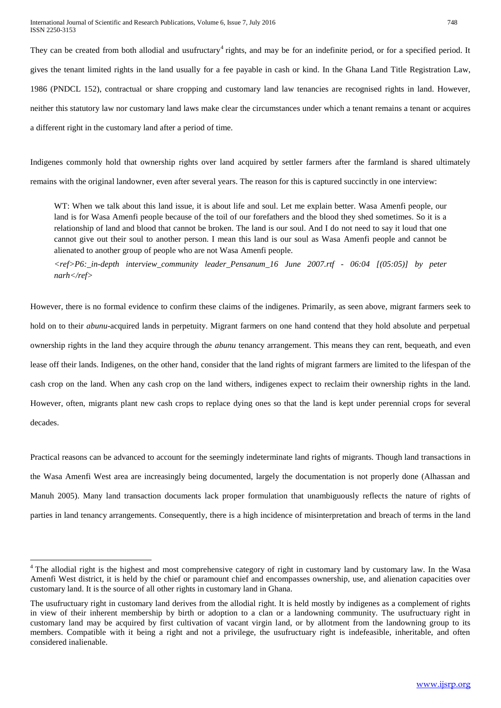International Journal of Scientific and Research Publications, Volume 6, Issue 7, July 2016 748 ISSN 2250-3153

They can be created from both allodial and usufructary<sup>4</sup> rights, and may be for an indefinite period, or for a specified period. It gives the tenant limited rights in the land usually for a fee payable in cash or kind. In the Ghana Land Title Registration Law, 1986 (PNDCL 152), contractual or share cropping and customary land law tenancies are recognised rights in land. However, neither this statutory law nor customary land laws make clear the circumstances under which a tenant remains a tenant or acquires a different right in the customary land after a period of time.

Indigenes commonly hold that ownership rights over land acquired by settler farmers after the farmland is shared ultimately remains with the original landowner, even after several years. The reason for this is captured succinctly in one interview:

WT: When we talk about this land issue, it is about life and soul. Let me explain better. Wasa Amenfi people, our land is for Wasa Amenfi people because of the toil of our forefathers and the blood they shed sometimes. So it is a relationship of land and blood that cannot be broken. The land is our soul. And I do not need to say it loud that one cannot give out their soul to another person. I mean this land is our soul as Wasa Amenfi people and cannot be alienated to another group of people who are not Wasa Amenfi people.

*<ref>P6:\_in-depth interview\_community leader\_Pensanum\_16 June 2007.rtf - 06:04 [(05:05)] by peter narh</ref>*

However, there is no formal evidence to confirm these claims of the indigenes. Primarily, as seen above, migrant farmers seek to hold on to their *abunu*-acquired lands in perpetuity. Migrant farmers on one hand contend that they hold absolute and perpetual ownership rights in the land they acquire through the *abunu* tenancy arrangement. This means they can rent, bequeath, and even lease off their lands. Indigenes, on the other hand, consider that the land rights of migrant farmers are limited to the lifespan of the cash crop on the land. When any cash crop on the land withers, indigenes expect to reclaim their ownership rights in the land. However, often, migrants plant new cash crops to replace dying ones so that the land is kept under perennial crops for several decades.

Practical reasons can be advanced to account for the seemingly indeterminate land rights of migrants. Though land transactions in the Wasa Amenfi West area are increasingly being documented, largely the documentation is not properly done (Alhassan and Manuh 2005). Many land transaction documents lack proper formulation that unambiguously reflects the nature of rights of parties in land tenancy arrangements. Consequently, there is a high incidence of misinterpretation and breach of terms in the land

1

<sup>&</sup>lt;sup>4</sup> The allodial right is the highest and most comprehensive category of right in customary land by customary law. In the Wasa Amenfi West district, it is held by the chief or paramount chief and encompasses ownership, use, and alienation capacities over customary land. It is the source of all other rights in customary land in Ghana.

The usufructuary right in customary land derives from the allodial right. It is held mostly by indigenes as a complement of rights in view of their inherent membership by birth or adoption to a clan or a landowning community. The usufructuary right in customary land may be acquired by first cultivation of vacant virgin land, or by allotment from the landowning group to its members. Compatible with it being a right and not a privilege, the usufructuary right is indefeasible, inheritable, and often considered inalienable.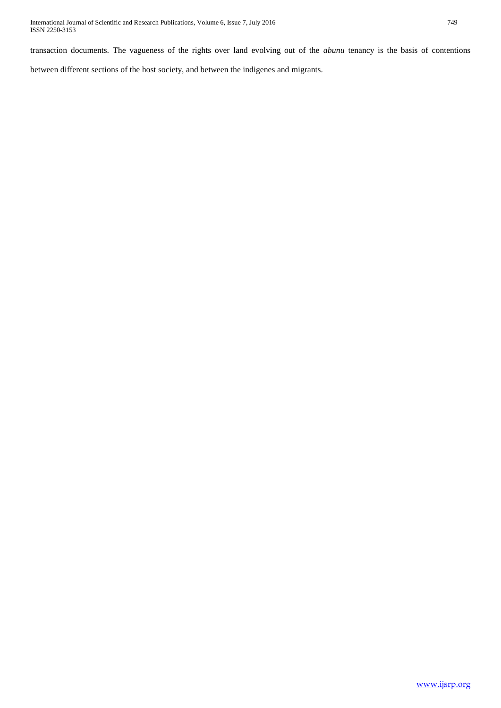transaction documents. The vagueness of the rights over land evolving out of the *abunu* tenancy is the basis of contentions

between different sections of the host society, and between the indigenes and migrants.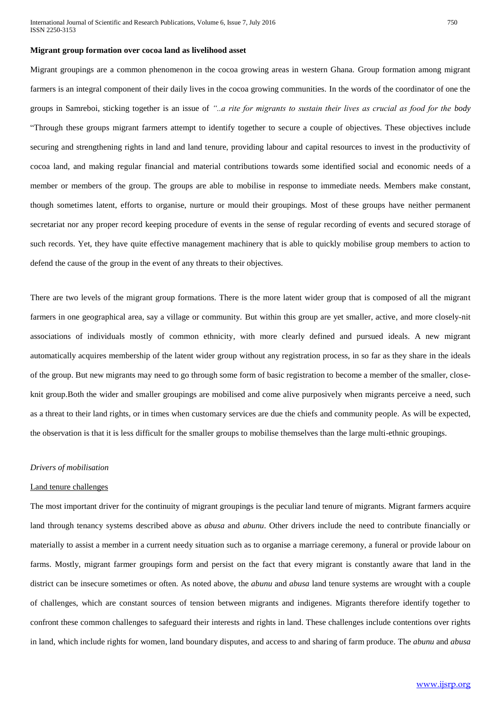#### **Migrant group formation over cocoa land as livelihood asset**

Migrant groupings are a common phenomenon in the cocoa growing areas in western Ghana. Group formation among migrant farmers is an integral component of their daily lives in the cocoa growing communities. In the words of the coordinator of one the groups in Samreboi, sticking together is an issue of *"..a rite for migrants to sustain their lives as crucial as food for the body* "Through these groups migrant farmers attempt to identify together to secure a couple of objectives. These objectives include securing and strengthening rights in land and land tenure, providing labour and capital resources to invest in the productivity of cocoa land, and making regular financial and material contributions towards some identified social and economic needs of a member or members of the group. The groups are able to mobilise in response to immediate needs. Members make constant, though sometimes latent, efforts to organise, nurture or mould their groupings. Most of these groups have neither permanent secretariat nor any proper record keeping procedure of events in the sense of regular recording of events and secured storage of such records. Yet, they have quite effective management machinery that is able to quickly mobilise group members to action to defend the cause of the group in the event of any threats to their objectives.

There are two levels of the migrant group formations. There is the more latent wider group that is composed of all the migrant farmers in one geographical area, say a village or community. But within this group are yet smaller, active, and more closely-nit associations of individuals mostly of common ethnicity, with more clearly defined and pursued ideals. A new migrant automatically acquires membership of the latent wider group without any registration process, in so far as they share in the ideals of the group. But new migrants may need to go through some form of basic registration to become a member of the smaller, closeknit group.Both the wider and smaller groupings are mobilised and come alive purposively when migrants perceive a need, such as a threat to their land rights, or in times when customary services are due the chiefs and community people. As will be expected, the observation is that it is less difficult for the smaller groups to mobilise themselves than the large multi-ethnic groupings.

#### *Drivers of mobilisation*

#### Land tenure challenges

The most important driver for the continuity of migrant groupings is the peculiar land tenure of migrants. Migrant farmers acquire land through tenancy systems described above as *abusa* and *abunu*. Other drivers include the need to contribute financially or materially to assist a member in a current needy situation such as to organise a marriage ceremony, a funeral or provide labour on farms. Mostly, migrant farmer groupings form and persist on the fact that every migrant is constantly aware that land in the district can be insecure sometimes or often. As noted above, the *abunu* and *abusa* land tenure systems are wrought with a couple of challenges, which are constant sources of tension between migrants and indigenes. Migrants therefore identify together to confront these common challenges to safeguard their interests and rights in land. These challenges include contentions over rights in land, which include rights for women, land boundary disputes, and access to and sharing of farm produce. The *abunu* and *abusa*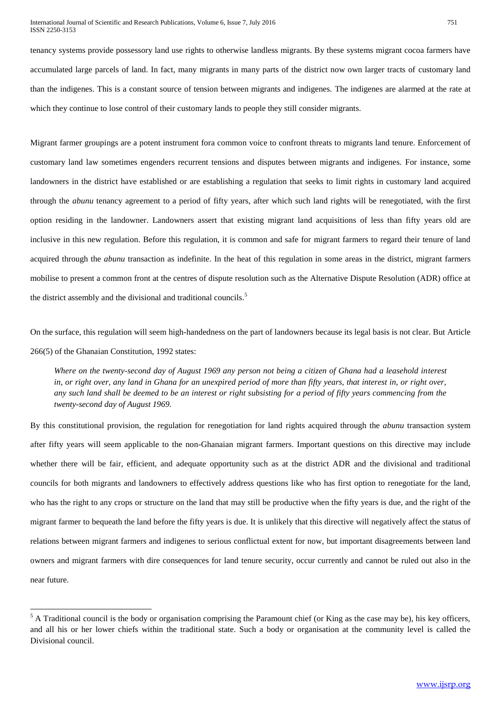tenancy systems provide possessory land use rights to otherwise landless migrants. By these systems migrant cocoa farmers have accumulated large parcels of land. In fact, many migrants in many parts of the district now own larger tracts of customary land than the indigenes. This is a constant source of tension between migrants and indigenes. The indigenes are alarmed at the rate at which they continue to lose control of their customary lands to people they still consider migrants.

Migrant farmer groupings are a potent instrument fora common voice to confront threats to migrants land tenure. Enforcement of customary land law sometimes engenders recurrent tensions and disputes between migrants and indigenes. For instance, some landowners in the district have established or are establishing a regulation that seeks to limit rights in customary land acquired through the *abunu* tenancy agreement to a period of fifty years, after which such land rights will be renegotiated, with the first option residing in the landowner. Landowners assert that existing migrant land acquisitions of less than fifty years old are inclusive in this new regulation. Before this regulation, it is common and safe for migrant farmers to regard their tenure of land acquired through the *abunu* transaction as indefinite. In the heat of this regulation in some areas in the district, migrant farmers mobilise to present a common front at the centres of dispute resolution such as the Alternative Dispute Resolution (ADR) office at the district assembly and the divisional and traditional councils.<sup>5</sup>

On the surface, this regulation will seem high-handedness on the part of landowners because its legal basis is not clear. But Article 266(5) of the Ghanaian Constitution, 1992 states:

*Where on the twenty-second day of August 1969 any person not being a citizen of Ghana had a leasehold interest in, or right over, any land in Ghana for an unexpired period of more than fifty years, that interest in, or right over, any such land shall be deemed to be an interest or right subsisting for a period of fifty years commencing from the twenty-second day of August 1969.*

By this constitutional provision, the regulation for renegotiation for land rights acquired through the *abunu* transaction system after fifty years will seem applicable to the non-Ghanaian migrant farmers. Important questions on this directive may include whether there will be fair, efficient, and adequate opportunity such as at the district ADR and the divisional and traditional councils for both migrants and landowners to effectively address questions like who has first option to renegotiate for the land, who has the right to any crops or structure on the land that may still be productive when the fifty years is due, and the right of the migrant farmer to bequeath the land before the fifty years is due. It is unlikely that this directive will negatively affect the status of relations between migrant farmers and indigenes to serious conflictual extent for now, but important disagreements between land owners and migrant farmers with dire consequences for land tenure security, occur currently and cannot be ruled out also in the near future.

**.** 

 $<sup>5</sup>$  A Traditional council is the body or organisation comprising the Paramount chief (or King as the case may be), his key officers,</sup> and all his or her lower chiefs within the traditional state. Such a body or organisation at the community level is called the Divisional council.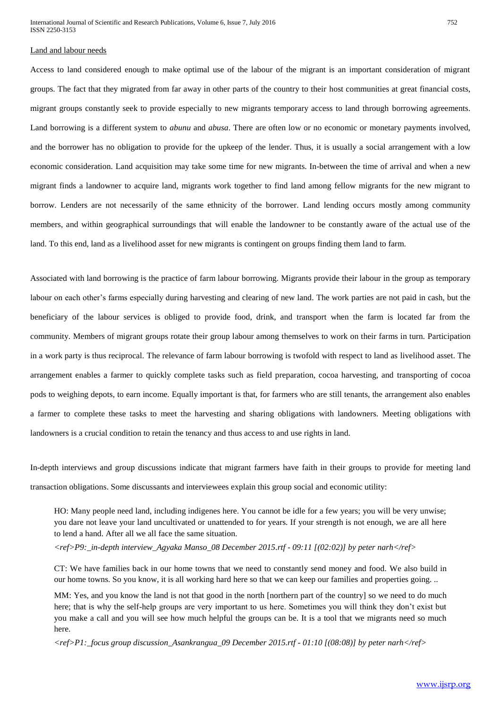# Land and labour needs

Access to land considered enough to make optimal use of the labour of the migrant is an important consideration of migrant groups. The fact that they migrated from far away in other parts of the country to their host communities at great financial costs, migrant groups constantly seek to provide especially to new migrants temporary access to land through borrowing agreements. Land borrowing is a different system to *abunu* and *abusa*. There are often low or no economic or monetary payments involved, and the borrower has no obligation to provide for the upkeep of the lender. Thus, it is usually a social arrangement with a low economic consideration. Land acquisition may take some time for new migrants. In-between the time of arrival and when a new migrant finds a landowner to acquire land, migrants work together to find land among fellow migrants for the new migrant to borrow. Lenders are not necessarily of the same ethnicity of the borrower. Land lending occurs mostly among community members, and within geographical surroundings that will enable the landowner to be constantly aware of the actual use of the land. To this end, land as a livelihood asset for new migrants is contingent on groups finding them land to farm.

Associated with land borrowing is the practice of farm labour borrowing. Migrants provide their labour in the group as temporary labour on each other's farms especially during harvesting and clearing of new land. The work parties are not paid in cash, but the beneficiary of the labour services is obliged to provide food, drink, and transport when the farm is located far from the community. Members of migrant groups rotate their group labour among themselves to work on their farms in turn. Participation in a work party is thus reciprocal. The relevance of farm labour borrowing is twofold with respect to land as livelihood asset. The arrangement enables a farmer to quickly complete tasks such as field preparation, cocoa harvesting, and transporting of cocoa pods to weighing depots, to earn income. Equally important is that, for farmers who are still tenants, the arrangement also enables a farmer to complete these tasks to meet the harvesting and sharing obligations with landowners. Meeting obligations with landowners is a crucial condition to retain the tenancy and thus access to and use rights in land.

In-depth interviews and group discussions indicate that migrant farmers have faith in their groups to provide for meeting land transaction obligations. Some discussants and interviewees explain this group social and economic utility:

HO: Many people need land, including indigenes here. You cannot be idle for a few years; you will be very unwise; you dare not leave your land uncultivated or unattended to for years. If your strength is not enough, we are all here to lend a hand. After all we all face the same situation.

*<ref>P9:\_in-depth interview\_Agyaka Manso\_08 December 2015.rtf - 09:11 [(02:02)] by peter narh</ref>*

CT: We have families back in our home towns that we need to constantly send money and food. We also build in our home towns. So you know, it is all working hard here so that we can keep our families and properties going. ..

MM: Yes, and you know the land is not that good in the north [northern part of the country] so we need to do much here; that is why the self-help groups are very important to us here. Sometimes you will think they don't exist but you make a call and you will see how much helpful the groups can be. It is a tool that we migrants need so much here.

*<ref>P1:\_focus group discussion\_Asankrangua\_09 December 2015.rtf - 01:10 [(08:08)] by peter narh</ref>*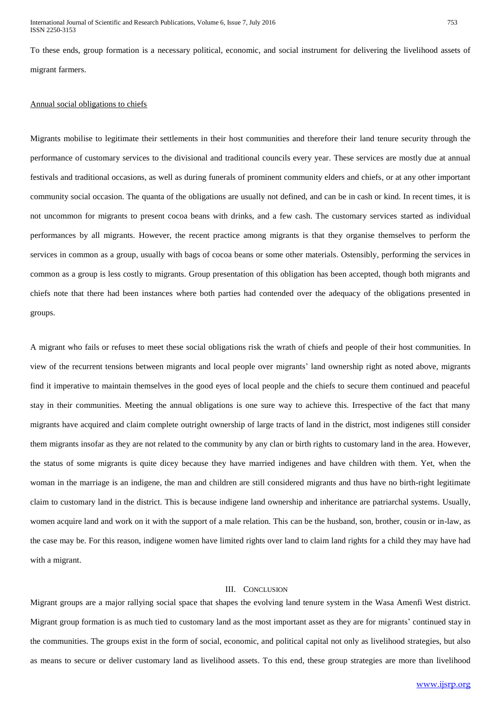To these ends, group formation is a necessary political, economic, and social instrument for delivering the livelihood assets of migrant farmers.

## Annual social obligations to chiefs

Migrants mobilise to legitimate their settlements in their host communities and therefore their land tenure security through the performance of customary services to the divisional and traditional councils every year. These services are mostly due at annual festivals and traditional occasions, as well as during funerals of prominent community elders and chiefs, or at any other important community social occasion. The quanta of the obligations are usually not defined, and can be in cash or kind. In recent times, it is not uncommon for migrants to present cocoa beans with drinks, and a few cash. The customary services started as individual performances by all migrants. However, the recent practice among migrants is that they organise themselves to perform the services in common as a group, usually with bags of cocoa beans or some other materials. Ostensibly, performing the services in common as a group is less costly to migrants. Group presentation of this obligation has been accepted, though both migrants and chiefs note that there had been instances where both parties had contended over the adequacy of the obligations presented in groups.

A migrant who fails or refuses to meet these social obligations risk the wrath of chiefs and people of their host communities. In view of the recurrent tensions between migrants and local people over migrants' land ownership right as noted above, migrants find it imperative to maintain themselves in the good eyes of local people and the chiefs to secure them continued and peaceful stay in their communities. Meeting the annual obligations is one sure way to achieve this. Irrespective of the fact that many migrants have acquired and claim complete outright ownership of large tracts of land in the district, most indigenes still consider them migrants insofar as they are not related to the community by any clan or birth rights to customary land in the area. However, the status of some migrants is quite dicey because they have married indigenes and have children with them. Yet, when the woman in the marriage is an indigene, the man and children are still considered migrants and thus have no birth-right legitimate claim to customary land in the district. This is because indigene land ownership and inheritance are patriarchal systems. Usually, women acquire land and work on it with the support of a male relation. This can be the husband, son, brother, cousin or in-law, as the case may be. For this reason, indigene women have limited rights over land to claim land rights for a child they may have had with a migrant.

## III. CONCLUSION

Migrant groups are a major rallying social space that shapes the evolving land tenure system in the Wasa Amenfi West district. Migrant group formation is as much tied to customary land as the most important asset as they are for migrants' continued stay in the communities. The groups exist in the form of social, economic, and political capital not only as livelihood strategies, but also as means to secure or deliver customary land as livelihood assets. To this end, these group strategies are more than livelihood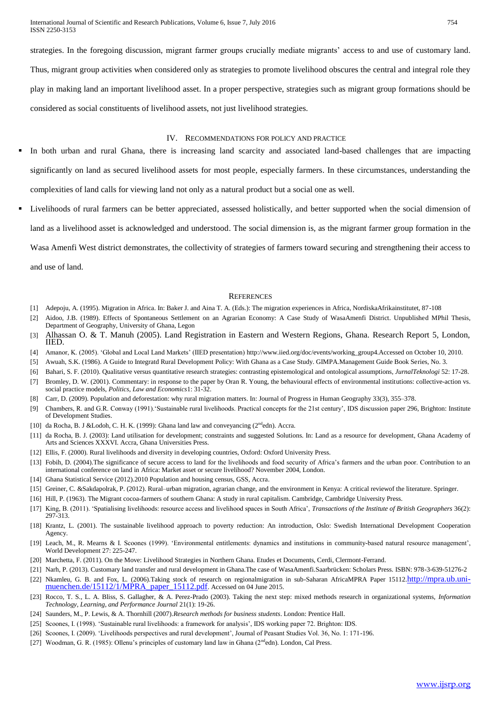International Journal of Scientific and Research Publications, Volume 6, Issue 7, July 2016 754 ISSN 2250-3153

strategies. In the foregoing discussion, migrant farmer groups crucially mediate migrants' access to and use of customary land. Thus, migrant group activities when considered only as strategies to promote livelihood obscures the central and integral role they play in making land an important livelihood asset. In a proper perspective, strategies such as migrant group formations should be considered as social constituents of livelihood assets, not just livelihood strategies.

#### IV. RECOMMENDATIONS FOR POLICY AND PRACTICE

- In both urban and rural Ghana, there is increasing land scarcity and associated land-based challenges that are impacting significantly on land as secured livelihood assets for most people, especially farmers. In these circumstances, understanding the complexities of land calls for viewing land not only as a natural product but a social one as well.
- Livelihoods of rural farmers can be better appreciated, assessed holistically, and better supported when the social dimension of land as a livelihood asset is acknowledged and understood. The social dimension is, as the migrant farmer group formation in the Wasa Amenfi West district demonstrates, the collectivity of strategies of farmers toward securing and strengthening their access to and use of land.

#### **REFERENCES**

- [1] Adepoju, A. (1995). Migration in Africa. In: Baker J. and Aina T. A. (Eds.): The migration experiences in Africa, NordiskaAfrikainstitutet, 87-108
- [2] Aidoo, J.B. (1989). Effects of Spontaneous Settlement on an Agrarian Economy: A Case Study of WasaAmenfi District. Unpublished MPhil Thesis, Department of Geography, University of Ghana, Legon
- [3] Alhassan O. & T. Manuh (2005). Land Registration in Eastern and Western Regions, Ghana. Research Report 5, London, IIED.
- [4] Amanor, K. (2005). 'Global and Local Land Markets' (IIED presentation) http://www.iied.org/doc/events/working\_group4.Accessed on October 10, 2010.
- [5] Awuah, S.K. (1986). A Guide to Integratd Rural Development Policy: With Ghana as a Case Study. GIMPA.Management Guide Book Series, No. 3.
- [6] Bahari, S. F. (2010). Qualitative versus quantitative research strategies: contrasting epistemological and ontological assumptions, *JurnalTeknologi* 52: 17-28.
- [7] Bromley, D. W. (2001). Commentary: in response to the paper by Oran R. Young, the behavioural effects of environmental institutions: collective-action vs. social practice models, *Politics, Law and Economics*1: 31-32.
- [8] Carr, D. (2009). Population and deforestation: why rural migration matters. In: Journal of Progress in Human Geography 33(3), 355–378.
- [9] Chambers, R. and G.R. Conway (1991).'Sustainable rural livelihoods. Practical concepts for the 21st century', IDS discussion paper 296, Brighton: Institute of Development Studies.
- [10] da Rocha, B. J &Lodoh, C. H. K. (1999): Ghana land law and conveyancing (2<sup>nd</sup>edn). Accra.
- [11] da Rocha, B. J. (2003): Land utilisation for development; constraints and suggested Solutions. In: Land as a resource for development, Ghana Academy of Arts and Sciences XXXVI. Accra, Ghana Universities Press.
- [12] Ellis, F. (2000). Rural livelihoods and diversity in developing countries, Oxford: Oxford University Press.
- [13] Fobih, D. (2004).The significance of secure access to land for the livelihoods and food security of Africa's farmers and the urban poor. Contribution to an international conference on land in Africa: Market asset or secure livelihood? November 2004, London.
- [14] Ghana Statistical Service (2012).2010 Population and housing census, GSS, Accra.
- [15] Greiner, C. &Sakdapolrak, P. (2012). Rural–urban migration, agrarian change, and the environment in Kenya: A critical reviewof the literature. Springer.
- [16] Hill, P. (1963). The Migrant cocoa-farmers of southern Ghana: A study in rural capitalism. Cambridge, Cambridge University Press.
- [17] King, B. (2011). 'Spatialising livelihoods: resource access and livelihood spaces in South Africa', *Transactions of the Institute of British Geographers* 36(2): 297-313.
- [18] Krantz, L. (2001). The sustainable livelihood approach to poverty reduction: An introduction, Oslo: Swedish International Development Cooperation Agency.
- [19] Leach, M., R. Mearns & I. Scoones (1999). 'Environmental entitlements: dynamics and institutions in community-based natural resource management', World Development 27: 225-247.
- [20] Marchetta, F. (2011). On the Move: Livelihood Strategies in Northern Ghana. Etudes et Documents, Cerdi, Clermont-Ferrand.
- [21] Narh, P. (2013). Customary land transfer and rural development in Ghana.The case of WasaAmenfi.Saarbrücken: Scholars Press. ISBN: 978-3-639-51276-2 [22] Nkamleu, G. B. and Fox, L. (2006).Taking stock of research on regionalmigration in sub-Saharan AfricaMPRA Paper 15112.[http://mpra.ub.uni](http://mpra.ub.uni-muenchen.de/15112/1/MPRA_paper_15112.pdf)[muenchen.de/15112/1/MPRA\\_paper\\_15112.pdf](http://mpra.ub.uni-muenchen.de/15112/1/MPRA_paper_15112.pdf). Accessed on 04 June 2015.
- [23] Rocco, T. S., L. A. Bliss, S. Gallagher, & A. Perez-Prado (2003). Taking the next step: mixed methods research in organizational systems, *Information Technology, Learning, and Performance Journal* 21(1): 19-26.
- [24] Saunders, M., P. Lewis, & A. Thornhill (2007).*Research methods for business students*. London: Prentice Hall.
- [25] Scoones, I. (1998). 'Sustainable rural livelihoods: a framework for analysis', IDS working paper 72. Brighton: IDS.
- [26] Scoones, I. (2009). 'Livelihoods perspectives and rural development', Journal of Peasant Studies Vol. 36, No. 1: 171-196.
- [27] Woodman, G. R. (1985): Ollenu's principles of customary land law in Ghana (2<sup>nd</sup>edn). London, Cal Press.